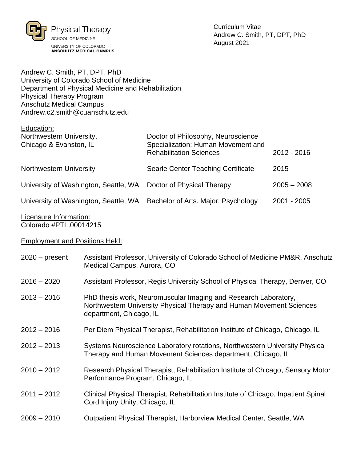

Andrew C. Smith, PT, DPT, PhD University of Colorado School of Medicine Department of Physical Medicine and Rehabilitation Physical Therapy Program Anschutz Medical Campus Andrew.c2.smith@cuanschutz.edu

| Education:                            |                                                                      |               |
|---------------------------------------|----------------------------------------------------------------------|---------------|
| Northwestern University,              | Doctor of Philosophy, Neuroscience                                   |               |
| Chicago & Evanston, IL                | Specialization: Human Movement and<br><b>Rehabilitation Sciences</b> | 2012 - 2016   |
| <b>Northwestern University</b>        | Searle Center Teaching Certificate                                   | 2015          |
| University of Washington, Seattle, WA | Doctor of Physical Therapy                                           | $2005 - 2008$ |
| University of Washington, Seattle, WA | Bachelor of Arts. Major: Psychology                                  | 2001 - 2005   |
|                                       |                                                                      |               |

### Licensure Information: Colorado #PTL.00014215

# Employment and Positions Held:

| $2020$ – present | Assistant Professor, University of Colorado School of Medicine PM&R, Anschutz<br>Medical Campus, Aurora, CO                                                        |
|------------------|--------------------------------------------------------------------------------------------------------------------------------------------------------------------|
| $2016 - 2020$    | Assistant Professor, Regis University School of Physical Therapy, Denver, CO                                                                                       |
| $2013 - 2016$    | PhD thesis work, Neuromuscular Imaging and Research Laboratory,<br>Northwestern University Physical Therapy and Human Movement Sciences<br>department, Chicago, IL |
| $2012 - 2016$    | Per Diem Physical Therapist, Rehabilitation Institute of Chicago, Chicago, IL                                                                                      |
| $2012 - 2013$    | Systems Neuroscience Laboratory rotations, Northwestern University Physical<br>Therapy and Human Movement Sciences department, Chicago, IL                         |
| $2010 - 2012$    | Research Physical Therapist, Rehabilitation Institute of Chicago, Sensory Motor<br>Performance Program, Chicago, IL                                                |
| $2011 - 2012$    | Clinical Physical Therapist, Rehabilitation Institute of Chicago, Inpatient Spinal<br>Cord Injury Unity, Chicago, IL                                               |
| $2009 - 2010$    | Outpatient Physical Therapist, Harborview Medical Center, Seattle, WA                                                                                              |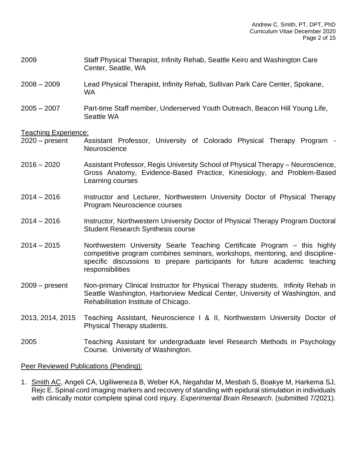- 2009 Staff Physical Therapist, Infinity Rehab, Seattle Keiro and Washington Care Center, Seattle, WA
- 2008 2009 Lead Physical Therapist, Infinity Rehab, Sullivan Park Care Center, Spokane, WA
- 2005 2007 Part-time Staff member, Underserved Youth Outreach, Beacon Hill Young Life, Seattle WA

#### Teaching Experience:

- 2020 present Assistant Professor, University of Colorado Physical Therapy Program **Neuroscience**
- 2016 2020 Assistant Professor, Regis University School of Physical Therapy Neuroscience, Gross Anatomy, Evidence-Based Practice, Kinesiology, and Problem-Based Learning courses
- 2014 2016 Instructor and Lecturer, Northwestern University Doctor of Physical Therapy Program Neuroscience courses
- 2014 2016 Instructor, Northwestern University Doctor of Physical Therapy Program Doctoral Student Research Synthesis course
- 2014 2015 Northwestern University Searle Teaching Certificate Program this highly competitive program combines seminars, workshops, mentoring, and disciplinespecific discussions to prepare participants for future academic teaching responsibilities
- 2009 present Non-primary Clinical Instructor for Physical Therapy students. Infinity Rehab in Seattle Washington, Harborview Medical Center, University of Washington, and Rehabilitation Institute of Chicago.
- 2013, 2014, 2015 Teaching Assistant, Neuroscience I & II, Northwestern University Doctor of Physical Therapy students.
- 2005 Teaching Assistant for undergraduate level Research Methods in Psychology Course. University of Washington.

#### Peer Reviewed Publications (Pending):

1. Smith AC, Angeli CA, Ugiliweneza B, Weber KA, Negahdar M, Mesbah S, Boakye M, Harkema SJ, Rejc E. Spinal cord imaging markers and recovery of standing with epidural stimulation in individuals with clinically motor complete spinal cord injury. *Experimental Brain Research*. (submitted 7/2021).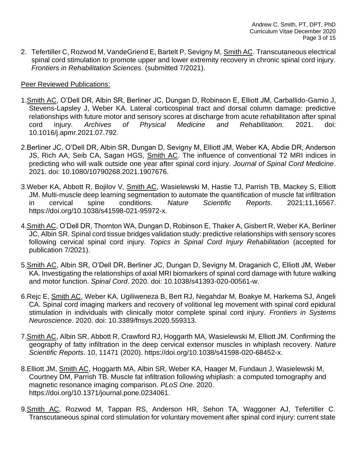2. Tefertiller C, Rozwod M, VandeGriend E, Bartelt P, Sevigny M, Smith AC. Transcutaneous electrical spinal cord stimulation to promote upper and lower extremity recovery in chronic spinal cord injury. *Frontiers in Rehabilitation Sciences*. (submitted 7/2021).

# Peer Reviewed Publications:

- 1.Smith AC, O'Dell DR, Albin SR, Berliner JC, Dungan D, Robinson E, Elliott JM, Carballido-Gamio J, Stevens-Lapsley J, Weber KA. Lateral corticospinal tract and dorsal column damage: predictive relationships with future motor and sensory scores at discharge from acute rehabilitation after spinal cord injury. *Archives of Physical Medicine and Rehabilitation.* 2021. doi: 10.1016/j.apmr.2021.07.792.
- 2.Berliner JC, O'Dell DR, Albin SR, Dungan D, Sevigny M, Elliott JM, Weber KA, Abdie DR, Anderson JS, Rich AA, Seib CA, Sagan HGS, Smith AC. The influence of conventional T2 MRI indices in predicting who will walk outside one year after spinal cord injury. *Journal of Spinal Cord Medicine*. 2021. doi: 10.1080/10790268.2021.1907676.
- 3.Weber KA, Abbott R, Bojilov V, Smith AC, Wasielewski M, Hastie TJ, Parrish TB, Mackey S, Elliott JM. Multi-muscle deep learning segmentation to automate the quantification of muscle fat infiltration in cervical spine conditions. *Nature Scientific Reports*. 2021;11,16567. https://doi.org/10.1038/s41598-021-95972-x.
- 4.Smith AC, O'Dell DR, Thornton WA, Dungan D, Robinson E, Thaker A, Gisbert R, Weber KA, Berliner JC, Albin SR. Spinal cord tissue bridges validation study: predictive relationships with sensory scores following cervical spinal cord injury. *Topics in Spinal Cord Injury Rehabilitation* (accepted for publication 7/2021).
- 5.Smith AC, Albin SR, O'Dell DR, Berliner JC, Dungan D, Sevigny M, Draganich C, Elliott JM, Weber KA. Investigating the relationships of axial MRI biomarkers of spinal cord damage with future walking and motor function. *Spinal Cord*. 2020. doi: 10.1038/s41393-020-00561-w.
- 6.Rejc E, Smith AC, Weber KA, Ugiliweneza B, Bert RJ, Negahdar M, Boakye M, Harkema SJ, Angeli CA. Spinal cord imaging markers and recovery of volitional leg movement with spinal cord epidural stimulation in individuals with clinically motor complete spinal cord injury. *Frontiers in Systems Neuroscience*. 2020. doi: 10.3389/fnsys.2020.559313.
- 7. Smith AC, Albin SR, Abbott R, Crawford RJ, Hoggarth MA, Wasielewski M, Elliott JM. Confirming the geography of fatty infiltration in the deep cervical extensor muscles in whiplash recovery. *Nature Scientific Reports*. 10, 11471 (2020). https://doi.org/10.1038/s41598-020-68452-x.
- 8.Elliott JM, Smith AC, Hoggarth MA, Albin SR, Weber KA, Haager M, Fundaun J, Wasielewski M, Courtney DM, Parrish TB. Muscle fat infiltration following whiplash: a computed tomography and magnetic resonance imaging comparison. *PLoS One*. 2020. https://doi.org/10.1371/journal.pone.0234061.
- 9. Smith AC, Rozwod M, Tappan RS, Anderson HR, Sehon TA, Waggoner AJ, Tefertiller C. Transcutaneous spinal cord stimulation for voluntary movement after spinal cord injury: current state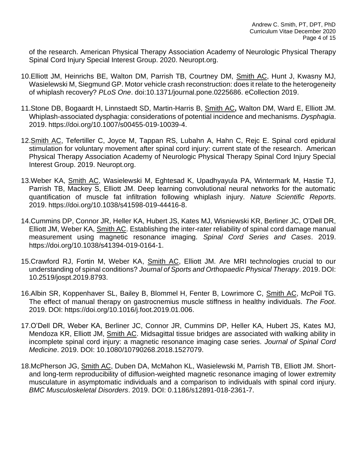of the research. American Physical Therapy Association Academy of Neurologic Physical Therapy Spinal Cord Injury Special Interest Group. 2020. Neuropt.org.

- 10. Elliott JM, Heinrichs BE, Walton DM, Parrish TB, Courtney DM, Smith AC, Hunt J, Kwasny MJ, Wasielewski M, Siegmund GP. Motor vehicle crash reconstruction: does it relate to the heterogeneity of whiplash recovery? *PLoS One*. doi:10.1371/journal.pone.0225686. eCollection 2019.
- 11.Stone DB, Bogaardt H, Linnstaedt SD, Martin-Harris B, Smith AC**,** Walton DM, Ward E, Elliott JM. Whiplash-associated dysphagia: considerations of potential incidence and mechanisms. *Dysphagia*. 2019. https://doi.org/10.1007/s00455-019-10039-4.
- 12. Smith AC, Tefertiller C, Joyce M, Tappan RS, Lubahn A, Hahn C, Rejc E. Spinal cord epidural stimulation for voluntary movement after spinal cord injury: current state of the research. American Physical Therapy Association Academy of Neurologic Physical Therapy Spinal Cord Injury Special Interest Group. 2019. Neuropt.org.
- 13.Weber KA, Smith AC, Wasielewski M, Eghtesad K, Upadhyayula PA, Wintermark M, Hastie TJ, Parrish TB, Mackey S, Elliott JM. Deep learning convolutional neural networks for the automatic quantification of muscle fat infiltration following whiplash injury. *Nature Scientific Reports*. 2019. https://doi.org/10.1038/s41598-019-44416-8.
- 14.Cummins DP, Connor JR, Heller KA, Hubert JS, Kates MJ, Wisniewski KR, Berliner JC, O'Dell DR, Elliott JM, Weber KA, Smith AC. Establishing the inter-rater reliability of spinal cord damage manual measurement using magnetic resonance imaging. *Spinal Cord Series and Cases*. 2019. https://doi.org/10.1038/s41394-019-0164-1.
- 15.Crawford RJ, Fortin M, Weber KA, Smith AC, Elliott JM. Are MRI technologies crucial to our understanding of spinal conditions? *Journal of Sports and Orthopaedic Physical Therapy*. 2019. DOI: 10.2519/jospt.2019.8793.
- 16.Albin SR, Koppenhaver SL, Bailey B, Blommel H, Fenter B, Lowrimore C, Smith AC, McPoil TG. The effect of manual therapy on gastrocnemius muscle stiffness in healthy individuals. *The Foot*. 2019. DOI: https://doi.org/10.1016/j.foot.2019.01.006.
- 17.O'Dell DR, Weber KA, Berliner JC, Connor JR, Cummins DP, Heller KA, Hubert JS, Kates MJ, Mendoza KR, Elliott JM, Smith AC. Midsagittal tissue bridges are associated with walking ability in incomplete spinal cord injury: a magnetic resonance imaging case series. *Journal of Spinal Cord Medicine*. 2019. DOI: 10.1080/10790268.2018.1527079.
- 18.McPherson JG, Smith AC, Duben DA, McMahon KL, Wasielewski M, Parrish TB, Elliott JM. Shortand long-term reproducibility of diffusion-weighted magnetic resonance imaging of lower extremity musculature in asymptomatic individuals and a comparison to individuals with spinal cord injury. *BMC Musculoskeletal Disorders*. 2019. DOI: 0.1186/s12891-018-2361-7.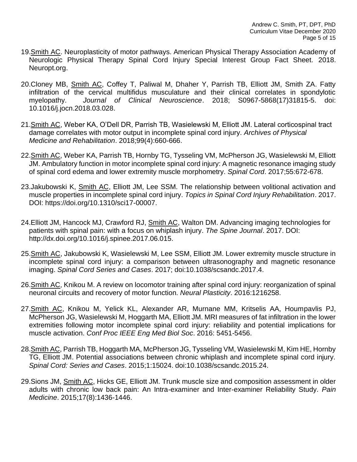- 19.Smith AC. Neuroplasticity of motor pathways. American Physical Therapy Association Academy of Neurologic Physical Therapy Spinal Cord Injury Special Interest Group Fact Sheet. 2018. Neuropt.org.
- 20.Cloney MB, Smith AC, Coffey T, Paliwal M, Dhaher Y, Parrish TB, Elliott JM, Smith ZA. Fatty infiltration of the cervical multifidus musculature and their clinical correlates in spondylotic myelopathy. *Journal of Clinical Neuroscience*. 2018; S0967-5868(17)31815-5. doi: 10.1016/j.jocn.2018.03.028.
- 21.Smith AC, Weber KA, O'Dell DR, Parrish TB, Wasielewski M, Elliott JM. Lateral corticospinal tract damage correlates with motor output in incomplete spinal cord injury. *Archives of Physical Medicine and Rehabilitation*. 2018;99(4):660-666.
- 22.Smith AC, Weber KA, Parrish TB, Hornby TG, Tysseling VM, McPherson JG, Wasielewski M, Elliott JM. Ambulatory function in motor incomplete spinal cord injury: A magnetic resonance imaging study of spinal cord edema and lower extremity muscle morphometry. *Spinal Cord*. 2017;55:672-678.
- 23.Jakubowski K, Smith AC, Elliott JM, Lee SSM. The relationship between volitional activation and muscle properties in incomplete spinal cord injury. *Topics in Spinal Cord Injury Rehabilitation*. 2017. DOI: https://doi.org/10.1310/sci17-00007.
- 24.Elliott JM, Hancock MJ, Crawford RJ, Smith AC, Walton DM. Advancing imaging technologies for patients with spinal pain: with a focus on whiplash injury. *The Spine Journal*. 2017. DOI: http://dx.doi.org/10.1016/j.spinee.2017.06.015.
- 25.Smith AC, Jakubowski K, Wasielewski M, Lee SSM, Elliott JM. Lower extremity muscle structure in incomplete spinal cord injury: a comparison between ultrasonography and magnetic resonance imaging. *Spinal Cord Series and Cases*. 2017; doi:10.1038/scsandc.2017.4.
- 26.Smith AC, Knikou M. A review on locomotor training after spinal cord injury: reorganization of spinal neuronal circuits and recovery of motor function. *Neural Plasticity*. 2016:1216258.
- 27.Smith AC, Knikou M, Yelick KL, Alexander AR, Murnane MM, Kritselis AA, Houmpavlis PJ, McPherson JG, Wasielewski M, Hoggarth MA, Elliott JM. MRI measures of fat infiltration in the lower extremities following motor incomplete spinal cord injury: reliability and potential implications for muscle activation. *Conf Proc IEEE Eng Med Biol Soc*. 2016: 5451-5456.
- 28.Smith AC, Parrish TB, Hoggarth MA, McPherson JG, Tysseling VM, Wasielewski M, Kim HE, Hornby TG, Elliott JM. Potential associations between chronic whiplash and incomplete spinal cord injury. *Spinal Cord: Series and Cases*. 2015;1:15024. doi:10.1038/scsandc.2015.24.
- 29.Sions JM, Smith AC, Hicks GE, Elliott JM. Trunk muscle size and composition assessment in older adults with chronic low back pain: An Intra-examiner and Inter-examiner Reliability Study. *Pain Medicine*. 2015;17(8):1436-1446.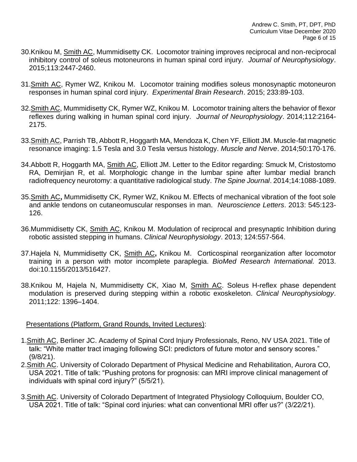- 30.Knikou M, Smith AC, Mummidisetty CK. Locomotor training improves reciprocal and non-reciprocal inhibitory control of soleus motoneurons in human spinal cord injury. *Journal of Neurophysiology*. 2015;113:2447-2460.
- 31.Smith AC, Rymer WZ, Knikou M. Locomotor training modifies soleus monosynaptic motoneuron responses in human spinal cord injury. *Experimental Brain Research*. 2015; 233:89-103.
- 32.Smith AC, Mummidisetty CK, Rymer WZ, Knikou M. Locomotor training alters the behavior of flexor reflexes during walking in human spinal cord injury. *Journal of Neurophysiology*. 2014;112:2164- 2175.
- 33.Smith AC, Parrish TB, Abbott R, Hoggarth MA, Mendoza K, Chen YF, Elliott JM. Muscle-fat magnetic resonance imaging: 1.5 Tesla and 3.0 Tesla versus histology. *Muscle and Nerve*. 2014;50:170-176.
- 34.Abbott R, Hoggarth MA, Smith AC, Elliott JM. Letter to the Editor regarding: Smuck M, Cristostomo RA, Demirjian R, et al. Morphologic change in the lumbar spine after lumbar medial branch radiofrequency neurotomy: a quantitative radiological study. *The Spine Journal*. 2014;14:1088-1089.
- 35.Smith AC**,** Mummidisetty CK, Rymer WZ, Knikou M. Effects of mechanical vibration of the foot sole and ankle tendons on cutaneomuscular responses in man. *Neuroscience Letters*. 2013: 545:123- 126.
- 36.Mummidisetty CK, Smith AC, Knikou M. Modulation of reciprocal and presynaptic Inhibition during robotic assisted stepping in humans. *Clinical Neurophysiology*. 2013; 124:557-564.
- 37.Hajela N, Mummidisetty CK, Smith AC**,** Knikou M. Corticospinal reorganization after locomotor training in a person with motor incomplete paraplegia. *BioMed Research International.* 2013. doi:10.1155/2013/516427.
- 38.Knikou M, Hajela N, Mummidisetty CK, Xiao M, Smith AC. Soleus H-reflex phase dependent modulation is preserved during stepping within a robotic exoskeleton. *Clinical Neurophysiology*. 2011;122: 1396–1404.

# Presentations (Platform, Grand Rounds, Invited Lectures):

- 1.Smith AC, Berliner JC. Academy of Spinal Cord Injury Professionals, Reno, NV USA 2021. Title of talk: "White matter tract imaging following SCI: predictors of future motor and sensory scores." (9/8/21).
- 2.Smith AC. University of Colorado Department of Physical Medicine and Rehabilitation, Aurora CO, USA 2021. Title of talk: "Pushing protons for prognosis: can MRI improve clinical management of individuals with spinal cord injury?" (5/5/21).
- 3.Smith AC. University of Colorado Department of Integrated Physiology Colloquium, Boulder CO, USA 2021. Title of talk: "Spinal cord injuries: what can conventional MRI offer us?" (3/22/21).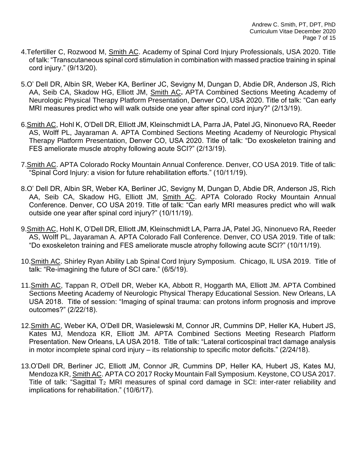- 4.Tefertiller C, Rozwood M, Smith AC. Academy of Spinal Cord Injury Professionals, USA 2020. Title of talk: "Transcutaneous spinal cord stimulation in combination with massed practice training in spinal cord injury." (9/13/20).
- 5.O' Dell DR, Albin SR, Weber KA, Berliner JC, Sevigny M, Dungan D, Abdie DR, Anderson JS, Rich AA, Seib CA, Skadow HG, Elliott JM, Smith AC**.** APTA Combined Sections Meeting Academy of Neurologic Physical Therapy Platform Presentation, Denver CO, USA 2020. Title of talk: "Can early MRI measures predict who will walk outside one year after spinal cord injury?" (2/13/19).
- 6.Smith AC, Hohl K, O'Dell DR, Elliott JM, Kleinschmidt LA, Parra JA, Patel JG, Ninonuevo RA, Reeder AS, Wolff PL, Jayaraman A. APTA Combined Sections Meeting Academy of Neurologic Physical Therapy Platform Presentation, Denver CO, USA 2020. Title of talk: "Do exoskeleton training and FES ameliorate muscle atrophy following acute SCI?" (2/13/19).
- 7.Smith AC. APTA Colorado Rocky Mountain Annual Conference. Denver, CO USA 2019. Title of talk: "Spinal Cord Injury: a vision for future rehabilitation efforts." (10/11/19).
- 8.O' Dell DR, Albin SR, Weber KA, Berliner JC, Sevigny M, Dungan D, Abdie DR, Anderson JS, Rich AA, Seib CA, Skadow HG, Elliott JM, Smith AC. APTA Colorado Rocky Mountain Annual Conference. Denver, CO USA 2019. Title of talk: "Can early MRI measures predict who will walk outside one year after spinal cord injury?" (10/11/19).
- 9.Smith AC, Hohl K, O'Dell DR, Elliott JM, Kleinschmidt LA, Parra JA, Patel JG, Ninonuevo RA, Reeder AS, Wolff PL, Jayaraman A. APTA Colorado Fall Conference. Denver, CO USA 2019. Title of talk: "Do exoskeleton training and FES ameliorate muscle atrophy following acute SCI?" (10/11/19).
- 10.Smith AC. Shirley Ryan Ability Lab Spinal Cord Injury Symposium. Chicago, IL USA 2019. Title of talk: "Re-imagining the future of SCI care." (6/5/19).
- 11.Smith AC, Tappan R, O'Dell DR, Weber KA, Abbott R, Hoggarth MA, Elliott JM. APTA Combined Sections Meeting Academy of Neurologic Physical Therapy Educational Session. New Orleans, LA USA 2018. Title of session: "Imaging of spinal trauma: can protons inform prognosis and improve outcomes?" (2/22/18).
- 12.Smith AC, Weber KA, O'Dell DR, Wasielewski M, Connor JR, Cummins DP, Heller KA, Hubert JS, Kates MJ, Mendoza KR, Elliott JM. APTA Combined Sections Meeting Research Platform Presentation. New Orleans, LA USA 2018. Title of talk: "Lateral corticospinal tract damage analysis in motor incomplete spinal cord injury – its relationship to specific motor deficits." (2/24/18).
- 13.O'Dell DR, Berliner JC, Elliott JM, Connor JR, Cummins DP, Heller KA, Hubert JS, Kates MJ, Mendoza KR, Smith AC. APTA CO 2017 Rocky Mountain Fall Symposium. Keystone, CO USA 2017. Title of talk: "Sagittal T<sup>2</sup> MRI measures of spinal cord damage in SCI: inter-rater reliability and implications for rehabilitation." (10/6/17).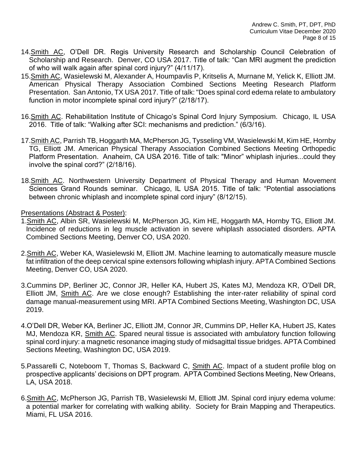- 14.Smith AC, O'Dell DR. Regis University Research and Scholarship Council Celebration of Scholarship and Research. Denver, CO USA 2017. Title of talk: "Can MRI augment the prediction of who will walk again after spinal cord injury?" (4/11/17).
- 15.Smith AC, Wasielewski M, Alexander A, Houmpavlis P, Kritselis A, Murnane M, Yelick K, Elliott JM. American Physical Therapy Association Combined Sections Meeting Research Platform Presentation. San Antonio, TX USA 2017. Title of talk: "Does spinal cord edema relate to ambulatory function in motor incomplete spinal cord injury?" (2/18/17).
- 16.Smith AC. Rehabilitation Institute of Chicago's Spinal Cord Injury Symposium. Chicago, IL USA 2016. Title of talk: "Walking after SCI: mechanisms and prediction." (6/3/16).
- 17. Smith AC, Parrish TB, Hoggarth MA, McPherson JG, Tysseling VM, Wasielewski M, Kim HE, Hornby TG, Elliott JM. American Physical Therapy Association Combined Sections Meeting Orthopedic Platform Presentation. Anaheim, CA USA 2016. Title of talk: "Minor" whiplash injuries...could they involve the spinal cord?" (2/18/16).
- 18.Smith AC. Northwestern University Department of Physical Therapy and Human Movement Sciences Grand Rounds seminar. Chicago, IL USA 2015. Title of talk: "Potential associations between chronic whiplash and incomplete spinal cord injury" (8/12/15).

Presentations (Abstract & Poster):

- 1.Smith AC, Albin SR, Wasielewski M, McPherson JG, Kim HE, Hoggarth MA, Hornby TG, Elliott JM. Incidence of reductions in leg muscle activation in severe whiplash associated disorders. APTA Combined Sections Meeting, Denver CO, USA 2020.
- 2.Smith AC, Weber KA, Wasielewski M, Elliott JM. Machine learning to automatically measure muscle fat infiltration of the deep cervical spine extensors following whiplash injury. APTA Combined Sections Meeting, Denver CO, USA 2020.
- 3.Cummins DP, Berliner JC, Connor JR, Heller KA, Hubert JS, Kates MJ, Mendoza KR, O'Dell DR, Elliott JM, Smith AC. Are we close enough? Establishing the inter-rater reliability of spinal cord damage manual-measurement using MRI. APTA Combined Sections Meeting, Washington DC, USA 2019.
- 4.O'Dell DR, Weber KA, Berliner JC, Elliott JM, Connor JR, Cummins DP, Heller KA, Hubert JS, Kates MJ, Mendoza KR, Smith AC. Spared neural tissue is associated with ambulatory function following spinal cord injury: a magnetic resonance imaging study of midsagittal tissue bridges. APTA Combined Sections Meeting, Washington DC, USA 2019.
- 5.Passarelli C, Noteboom T, Thomas S, Backward C, Smith AC. Impact of a student profile blog on prospective applicants' decisions on DPT program. APTA Combined Sections Meeting, New Orleans, LA, USA 2018.
- 6.Smith AC, McPherson JG, Parrish TB, Wasielewski M, Elliott JM. Spinal cord injury edema volume: a potential marker for correlating with walking ability. Society for Brain Mapping and Therapeutics. Miami, FL USA 2016.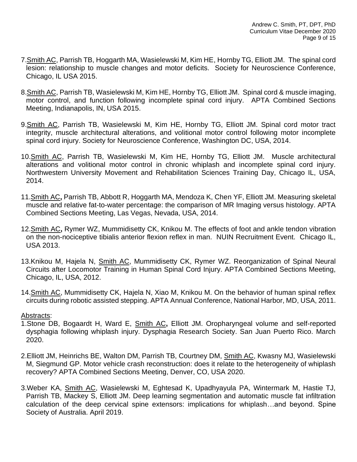- 7.Smith AC, Parrish TB, Hoggarth MA, Wasielewski M, Kim HE, Hornby TG, Elliott JM. The spinal cord lesion: relationship to muscle changes and motor deficits. Society for Neuroscience Conference, Chicago, IL USA 2015.
- 8.Smith AC, Parrish TB, Wasielewski M, Kim HE, Hornby TG, Elliott JM. Spinal cord & muscle imaging, motor control, and function following incomplete spinal cord injury. APTA Combined Sections Meeting, Indianapolis, IN, USA 2015.
- 9.Smith AC, Parrish TB, Wasielewski M, Kim HE, Hornby TG, Elliott JM. Spinal cord motor tract integrity, muscle architectural alterations, and volitional motor control following motor incomplete spinal cord injury. Society for Neuroscience Conference, Washington DC, USA, 2014.
- 10.Smith AC, Parrish TB, Wasielewski M, Kim HE, Hornby TG, Elliott JM. Muscle architectural alterations and volitional motor control in chronic whiplash and incomplete spinal cord injury. Northwestern University Movement and Rehabilitation Sciences Training Day, Chicago IL, USA, 2014.
- 11.Smith AC**,** Parrish TB, Abbott R, Hoggarth MA, Mendoza K, Chen YF, Elliott JM. Measuring skeletal muscle and relative fat-to-water percentage: the comparison of MR Imaging versus histology. APTA Combined Sections Meeting, Las Vegas, Nevada, USA, 2014.
- 12.Smith AC**,** Rymer WZ, Mummidisetty CK, Knikou M. The effects of foot and ankle tendon vibration on the non-nociceptive tibialis anterior flexion reflex in man. NUIN Recruitment Event. Chicago IL, USA 2013.
- 13.Knikou M, Hajela N, Smith AC, Mummidisetty CK, Rymer WZ. Reorganization of Spinal Neural Circuits after Locomotor Training in Human Spinal Cord Injury. APTA Combined Sections Meeting, Chicago, IL, USA, 2012.
- 14.Smith AC, Mummidisetty CK, Hajela N, Xiao M, Knikou M. On the behavior of human spinal reflex circuits during robotic assisted stepping. APTA Annual Conference, National Harbor, MD, USA, 2011.

### Abstracts:

- 1.Stone DB, Bogaardt H, Ward E, Smith AC**,** Elliott JM. Oropharyngeal volume and self-reported dysphagia following whiplash injury. Dysphagia Research Society. San Juan Puerto Rico. March 2020.
- 2. Elliott JM, Heinrichs BE, Walton DM, Parrish TB, Courtney DM, Smith AC, Kwasny MJ, Wasielewski M, Siegmund GP. Motor vehicle crash reconstruction: does it relate to the heterogeneity of whiplash recovery? APTA Combined Sections Meeting, Denver, CO, USA 2020.
- 3.Weber KA, Smith AC, Wasielewski M, Eghtesad K, Upadhyayula PA, Wintermark M, Hastie TJ, Parrish TB, Mackey S, Elliott JM. Deep learning segmentation and automatic muscle fat infiltration calculation of the deep cervical spine extensors: implications for whiplash…and beyond. Spine Society of Australia. April 2019.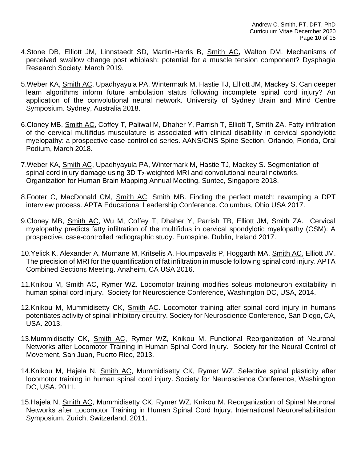- 4.Stone DB, Elliott JM, Linnstaedt SD, Martin-Harris B, Smith AC**,** Walton DM. Mechanisms of perceived swallow change post whiplash: potential for a muscle tension component? Dysphagia Research Society. March 2019.
- 5.Weber KA, Smith AC, Upadhyayula PA, Wintermark M, Hastie TJ, Elliott JM, Mackey S. Can deeper learn algorithms inform future ambulation status following incomplete spinal cord injury? An application of the convolutional neural network. University of Sydney Brain and Mind Centre Symposium. Sydney, Australia 2018.
- 6.Cloney MB, Smith AC, Coffey T, Paliwal M, Dhaher Y, Parrish T, Elliott T, Smith ZA. Fatty infiltration of the cervical multifidus musculature is associated with clinical disability in cervical spondylotic myelopathy: a prospective case-controlled series. AANS/CNS Spine Section. Orlando, Florida, Oral Podium, March 2018.
- 7.Weber KA, Smith AC, Upadhyayula PA, Wintermark M, Hastie TJ, Mackey S. Segmentation of spinal cord injury damage using 3D T<sub>2</sub>-weighted MRI and convolutional neural networks. Organization for Human Brain Mapping Annual Meeting. Suntec, Singapore 2018.
- 8.Footer C, MacDonald CM, Smith AC, Smith MB. Finding the perfect match: revamping a DPT interview process. APTA Educational Leadership Conference. Columbus, Ohio USA 2017.
- 9.Cloney MB, Smith AC, Wu M, Coffey T, Dhaher Y, Parrish TB, Elliott JM, Smith ZA. Cervical myelopathy predicts fatty infiltration of the multifidus in cervical spondylotic myelopathy (CSM): A prospective, case-controlled radiographic study. Eurospine. Dublin, Ireland 2017.
- 10.Yelick K, Alexander A, Murnane M, Kritselis A, Houmpavalis P, Hoggarth MA, Smith AC, Elliott JM. The precision of MRI for the quantification of fat infiltration in muscle following spinal cord injury. APTA Combined Sections Meeting. Anaheim, CA USA 2016.
- 11.Knikou M, Smith AC, Rymer WZ. Locomotor training modifies soleus motoneuron excitability in human spinal cord injury. Society for Neuroscience Conference, Washington DC, USA, 2014.
- 12.Knikou M, Mummidisetty CK, Smith AC. Locomotor training after spinal cord injury in humans potentiates activity of spinal inhibitory circuitry. Society for Neuroscience Conference, San Diego, CA, USA. 2013.
- 13.Mummidisetty CK, Smith AC, Rymer WZ, Knikou M. Functional Reorganization of Neuronal Networks after Locomotor Training in Human Spinal Cord Injury. Society for the Neural Control of Movement, San Juan, Puerto Rico, 2013.
- 14.Knikou M, Hajela N, Smith AC, Mummidisetty CK, Rymer WZ. Selective spinal plasticity after locomotor training in human spinal cord injury. Society for Neuroscience Conference, Washington DC, USA. 2011.
- 15.Hajela N, Smith AC, Mummidisetty CK, Rymer WZ, Knikou M. Reorganization of Spinal Neuronal Networks after Locomotor Training in Human Spinal Cord Injury. International Neurorehabilitation Symposium, Zurich, Switzerland, 2011.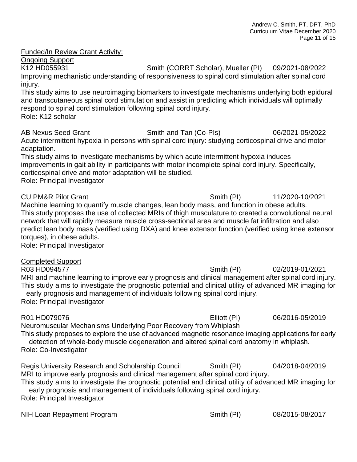### Funded/In Review Grant Activity:

Ongoing Support

K12 HD055931 Smith (CORRT Scholar), Mueller (PI) 09/2021-08/2022 Improving mechanistic understanding of responsiveness to spinal cord stimulation after spinal cord injury.

This study aims to use neuroimaging biomarkers to investigate mechanisms underlying both epidural and transcutaneous spinal cord stimulation and assist in predicting which individuals will optimally respond to spinal cord stimulation following spinal cord injury. Role: K12 scholar

AB Nexus Seed Grant Smith and Tan (Co-PIs) 06/2021-05/2022 Acute intermittent hypoxia in persons with spinal cord injury: studying corticospinal drive and motor adaptation.

This study aims to investigate mechanisms by which acute intermittent hypoxia induces improvements in gait ability in participants with motor incomplete spinal cord injury. Specifically, corticospinal drive and motor adaptation will be studied. Role: Principal Investigator

CU PM&R Pilot Grant Smith (PI) 11/2020-10/2021 Machine learning to quantify muscle changes, lean body mass, and function in obese adults. This study proposes the use of collected MRIs of thigh musculature to created a convolutional neural network that will rapidly measure muscle cross-sectional area and muscle fat infiltration and also predict lean body mass (verified using DXA) and knee extensor function (verified using knee extensor torques), in obese adults.

Role: Principal Investigator

Completed Support R03 HD094577 Smith (PI) 02/2019-01/2021 MRI and machine learning to improve early prognosis and clinical management after spinal cord injury. This study aims to investigate the prognostic potential and clinical utility of advanced MR imaging for early prognosis and management of individuals following spinal cord injury. Role: Principal Investigator

R01 HD079076 Elliott (PI) 06/2016-05/2019 Neuromuscular Mechanisms Underlying Poor Recovery from Whiplash This study proposes to explore the use of advanced magnetic resonance imaging applications for early detection of whole-body muscle degeneration and altered spinal cord anatomy in whiplash. Role: Co-Investigator Regis University Research and Scholarship Council Smith (PI) 04/2018-04/2019 MRI to improve early prognosis and clinical management after spinal cord injury. This study aims to investigate the prognostic potential and clinical utility of advanced MR imaging for

early prognosis and management of individuals following spinal cord injury. Role: Principal Investigator

NIH Loan Repayment Program Smith (PI) 08/2015-08/2017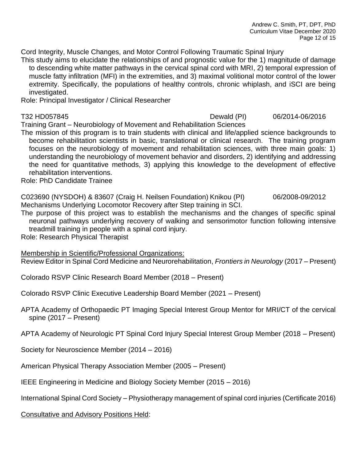Cord Integrity, Muscle Changes, and Motor Control Following Traumatic Spinal Injury

This study aims to elucidate the relationships of and prognostic value for the 1) magnitude of damage to descending white matter pathways in the cervical spinal cord with MRI, 2) temporal expression of muscle fatty infiltration (MFI) in the extremities, and 3) maximal volitional motor control of the lower extremity. Specifically, the populations of healthy controls, chronic whiplash, and iSCI are being investigated.

Role: Principal Investigator / Clinical Researcher

T32 HD057845 Dewald (PI) 06/2014-06/2016

Training Grant – Neurobiology of Movement and Rehabilitation Sciences

The mission of this program is to train students with clinical and life/applied science backgrounds to become rehabilitation scientists in basic, translational or clinical research. The training program focuses on the neurobiology of movement and rehabilitation sciences, with three main goals: 1) understanding the neurobiology of movement behavior and disorders, 2) identifying and addressing the need for quantitative methods, 3) applying this knowledge to the development of effective rehabilitation interventions.

Role: PhD Candidate Trainee

C023690 (NYSDOH) & 83607 (Craig H. Neilsen Foundation) Knikou (PI) 06/2008-09/2012 Mechanisms Underlying Locomotor Recovery after Step training in SCI.

The purpose of this project was to establish the mechanisms and the changes of specific spinal neuronal pathways underlying recovery of walking and sensorimotor function following intensive treadmill training in people with a spinal cord injury.

Role: Research Physical Therapist

Membership in Scientific/Professional Organizations: Review Editor in Spinal Cord Medicine and Neurorehabilitation, *Frontiers in Neurology* (2017 – Present)

Colorado RSVP Clinic Research Board Member (2018 – Present)

Colorado RSVP Clinic Executive Leadership Board Member (2021 – Present)

APTA Academy of Orthopaedic PT Imaging Special Interest Group Mentor for MRI/CT of the cervical spine (2017 – Present)

APTA Academy of Neurologic PT Spinal Cord Injury Special Interest Group Member (2018 – Present)

Society for Neuroscience Member (2014 – 2016)

American Physical Therapy Association Member (2005 – Present)

IEEE Engineering in Medicine and Biology Society Member (2015 – 2016)

International Spinal Cord Society – Physiotherapy management of spinal cord injuries (Certificate 2016)

Consultative and Advisory Positions Held: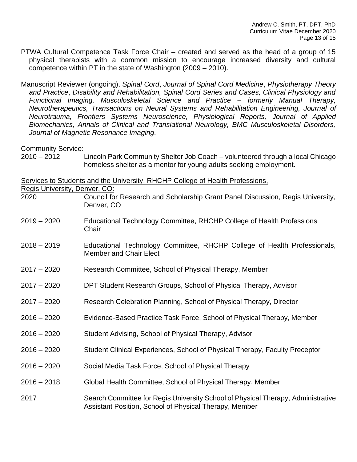PTWA Cultural Competence Task Force Chair – created and served as the head of a group of 15 physical therapists with a common mission to encourage increased diversity and cultural competence within PT in the state of Washington (2009 – 2010).

Manuscript Reviewer (ongoing). *Spinal Cord*, *Journal of Spinal Cord Medicine*, *Physiotherapy Theory and Practice*, *Disability and Rehabilitation, Spinal Cord Series and Cases, Clinical Physiology and Functional Imaging, Musculoskeletal Science and Practice – formerly Manual Therapy, Neurotherapeutics, Transactions on Neural Systems and Rehabilitation Engineering, Journal of Neurotrauma, Frontiers Systems Neuroscience, Physiological Reports, Journal of Applied Biomechanics, Annals of Clinical and Translational Neurology, BMC Musculoskeletal Disorders, Journal of Magnetic Resonance Imaging.*

#### Community Service:

2010 – 2012 Lincoln Park Community Shelter Job Coach – volunteered through a local Chicago homeless shelter as a mentor for young adults seeking employment.

Services to Students and the University, RHCHP College of Health Professions,

Regis University, Denver, CO:

- 2020 Council for Research and Scholarship Grant Panel Discussion, Regis University, Denver, CO
- 2019 2020 Educational Technology Committee, RHCHP College of Health Professions **Chair**
- 2018 2019 Educational Technology Committee, RHCHP College of Health Professionals, Member and Chair Elect
- 2017 2020 Research Committee, School of Physical Therapy, Member
- 2017 2020 DPT Student Research Groups, School of Physical Therapy, Advisor
- 2017 2020 Research Celebration Planning, School of Physical Therapy, Director
- 2016 2020 Evidence-Based Practice Task Force, School of Physical Therapy, Member
- 2016 2020 Student Advising, School of Physical Therapy, Advisor
- 2016 2020 Student Clinical Experiences, School of Physical Therapy, Faculty Preceptor
- 2016 2020 Social Media Task Force, School of Physical Therapy
- 2016 2018 Global Health Committee, School of Physical Therapy, Member
- 2017 Search Committee for Regis University School of Physical Therapy, Administrative Assistant Position, School of Physical Therapy, Member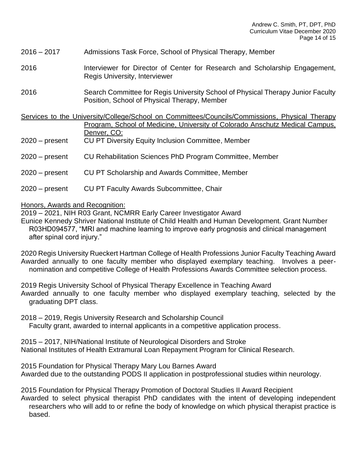- 2016 2017 Admissions Task Force, School of Physical Therapy, Member
- 2016 Interviewer for Director of Center for Research and Scholarship Engagement, Regis University, Interviewer
- 2016 Search Committee for Regis University School of Physical Therapy Junior Faculty Position, School of Physical Therapy, Member

Services to the University/College/School on Committees/Councils/Commissions, Physical Therapy Program, School of Medicine, University of Colorado Anschutz Medical Campus, Denver, CO:

- 2020 present CU PT Diversity Equity Inclusion Committee, Member
- 2020 present CU Rehabilitation Sciences PhD Program Committee, Member
- 2020 present CU PT Scholarship and Awards Committee, Member
- 2020 present CU PT Faculty Awards Subcommittee, Chair

Honors, Awards and Recognition:

2019 – 2021, NIH R03 Grant, NCMRR Early Career Investigator Award

Eunice Kennedy Shriver National Institute of Child Health and Human Development. Grant Number R03HD094577, "MRI and machine learning to improve early prognosis and clinical management after spinal cord injury."

2020 Regis University Rueckert Hartman College of Health Professions Junior Faculty Teaching Award Awarded annually to one faculty member who displayed exemplary teaching. Involves a peernomination and competitive College of Health Professions Awards Committee selection process.

2019 Regis University School of Physical Therapy Excellence in Teaching Award Awarded annually to one faculty member who displayed exemplary teaching, selected by the graduating DPT class.

2018 – 2019, Regis University Research and Scholarship Council Faculty grant, awarded to internal applicants in a competitive application process.

2015 – 2017, NIH/National Institute of Neurological Disorders and Stroke National Institutes of Health Extramural Loan Repayment Program for Clinical Research.

2015 Foundation for Physical Therapy Mary Lou Barnes Award Awarded due to the outstanding PODS II application in postprofessional studies within neurology.

2015 Foundation for Physical Therapy Promotion of Doctoral Studies II Award Recipient Awarded to select physical therapist PhD candidates with the intent of developing independent researchers who will add to or refine the body of knowledge on which physical therapist practice is based.